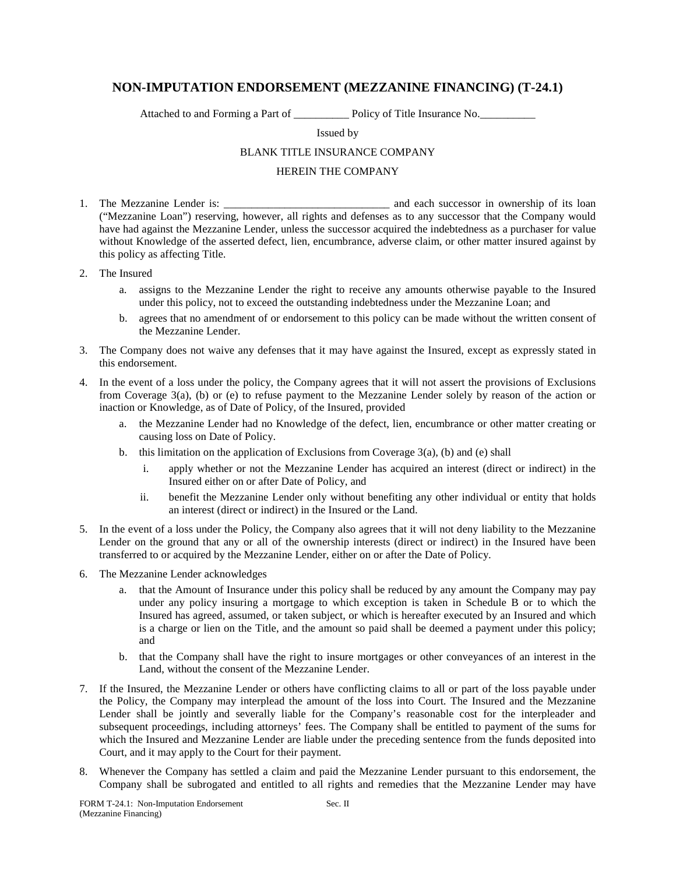## **NON-IMPUTATION ENDORSEMENT (MEZZANINE FINANCING) (T-24.1)**

Attached to and Forming a Part of \_\_\_\_\_\_\_\_\_\_\_\_\_ Policy of Title Insurance No.

Issued by

## BLANK TITLE INSURANCE COMPANY

## HEREIN THE COMPANY

1. The Mezzanine Lender is: \_\_\_\_\_\_\_\_\_\_\_\_\_\_\_\_\_\_\_\_\_\_\_\_\_\_\_\_\_\_ and each successor in ownership of its loan ("Mezzanine Loan") reserving, however, all rights and defenses as to any successor that the Company would have had against the Mezzanine Lender, unless the successor acquired the indebtedness as a purchaser for value without Knowledge of the asserted defect, lien, encumbrance, adverse claim, or other matter insured against by this policy as affecting Title.

- 2. The Insured
	- a. assigns to the Mezzanine Lender the right to receive any amounts otherwise payable to the Insured under this policy, not to exceed the outstanding indebtedness under the Mezzanine Loan; and
	- b. agrees that no amendment of or endorsement to this policy can be made without the written consent of the Mezzanine Lender.
- 3. The Company does not waive any defenses that it may have against the Insured, except as expressly stated in this endorsement.
- 4. In the event of a loss under the policy, the Company agrees that it will not assert the provisions of Exclusions from Coverage 3(a), (b) or (e) to refuse payment to the Mezzanine Lender solely by reason of the action or inaction or Knowledge, as of Date of Policy, of the Insured, provided
	- a. the Mezzanine Lender had no Knowledge of the defect, lien, encumbrance or other matter creating or causing loss on Date of Policy.
	- b. this limitation on the application of Exclusions from Coverage 3(a), (b) and (e) shall
		- i. apply whether or not the Mezzanine Lender has acquired an interest (direct or indirect) in the Insured either on or after Date of Policy, and
		- ii. benefit the Mezzanine Lender only without benefiting any other individual or entity that holds an interest (direct or indirect) in the Insured or the Land.
- 5. In the event of a loss under the Policy, the Company also agrees that it will not deny liability to the Mezzanine Lender on the ground that any or all of the ownership interests (direct or indirect) in the Insured have been transferred to or acquired by the Mezzanine Lender, either on or after the Date of Policy.
- 6. The Mezzanine Lender acknowledges
	- a. that the Amount of Insurance under this policy shall be reduced by any amount the Company may pay under any policy insuring a mortgage to which exception is taken in Schedule B or to which the Insured has agreed, assumed, or taken subject, or which is hereafter executed by an Insured and which is a charge or lien on the Title, and the amount so paid shall be deemed a payment under this policy; and
	- b. that the Company shall have the right to insure mortgages or other conveyances of an interest in the Land, without the consent of the Mezzanine Lender.
- 7. If the Insured, the Mezzanine Lender or others have conflicting claims to all or part of the loss payable under the Policy, the Company may interplead the amount of the loss into Court. The Insured and the Mezzanine Lender shall be jointly and severally liable for the Company's reasonable cost for the interpleader and subsequent proceedings, including attorneys' fees. The Company shall be entitled to payment of the sums for which the Insured and Mezzanine Lender are liable under the preceding sentence from the funds deposited into Court, and it may apply to the Court for their payment.
- 8. Whenever the Company has settled a claim and paid the Mezzanine Lender pursuant to this endorsement, the Company shall be subrogated and entitled to all rights and remedies that the Mezzanine Lender may have